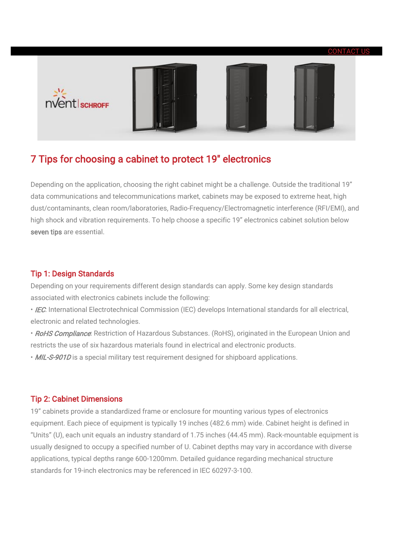

# 7 Tips for choosing a cabinet to protect 19″ electronics

Depending on the application, choosing the right cabinet might be a challenge. Outside the traditional 19" data communications and telecommunications market, cabinets may be exposed to extreme heat, high dust/contaminants, clean room/laboratories, Radio-Frequency/Electromagnetic interference (RFI/EMI), and high shock and vibration requirements. To help choose a specific 19" electronics cabinet solution below seven tips are essential.

## Tip 1: Design Standards

Depending on your requirements different design standards can apply. Some key design standards associated with electronics cabinets include the following:

• IEC: International Electrotechnical Commission (IEC) develops International standards for all electrical, electronic and related technologies.

• RoHS Compliance: Restriction of Hazardous Substances. (RoHS), originated in the European Union and restricts the use of six hazardous materials found in electrical and electronic products.

• **MIL-S-901D** is a special military test requirement designed for shipboard applications.

## Tip 2: Cabinet Dimensions

19" cabinets provide a standardized frame or enclosure for mounting various types of electronics equipment. Each piece of equipment is typically 19 inches (482.6 mm) wide. Cabinet height is defined in "Units" (U), each unit equals an industry standard of 1.75 inches (44.45 mm). Rack-mountable equipment is usually designed to occupy a specified number of U. Cabinet depths may vary in accordance with diverse applications, typical depths range 600-1200mm. Detailed guidance regarding mechanical structure standards for 19-inch electronics may be referenced in IEC 60297-3-100.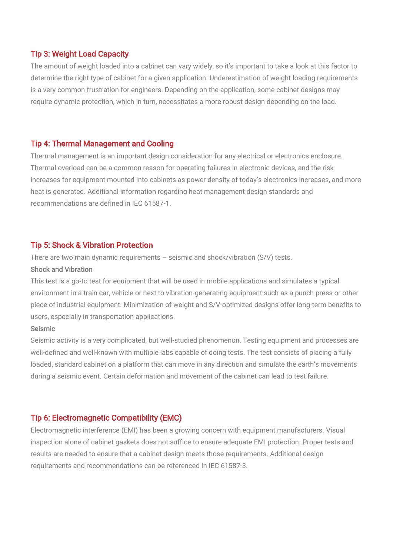## Tip 3: Weight Load Capacity

The amount of weight loaded into a cabinet can vary widely, so it's important to take a look at this factor to determine the right type of cabinet for a given application. Underestimation of weight loading requirements is a very common frustration for engineers. Depending on the application, some cabinet designs may require dynamic protection, which in turn, necessitates a more robust design depending on the load.

## Tip 4: Thermal Management and Cooling

Thermal management is an important design consideration for any electrical or electronics enclosure. Thermal overload can be a common reason for operating failures in electronic devices, and the risk increases for equipment mounted into cabinets as power density of today's electronics increases, and more heat is generated. Additional information regarding heat management design standards and recommendations are defined in IEC 61587-1.

### Tip 5: Shock & Vibration Protection

There are two main dynamic requirements – seismic and shock/vibration (S/V) tests.

#### Shock and Vibration

This test is a go-to test for equipment that will be used in mobile applications and simulates a typical environment in a train car, vehicle or next to vibration-generating equipment such as a punch press or other piece of industrial equipment. Minimization of weight and S/V-optimized designs offer long-term benefits to users, especially in transportation applications.

#### Seismic

Seismic activity is a very complicated, but well-studied phenomenon. Testing equipment and processes are well-defined and well-known with multiple labs capable of doing tests. The test consists of placing a fully loaded, standard cabinet on a platform that can move in any direction and simulate the earth's movements during a seismic event. Certain deformation and movement of the cabinet can lead to test failure.

## Tip 6: Electromagnetic Compatibility (EMC)

Electromagnetic interference (EMI) has been a growing concern with equipment manufacturers. Visual inspection alone of cabinet gaskets does not suffice to ensure adequate EMI protection. Proper tests and results are needed to ensure that a cabinet design meets those requirements. Additional design requirements and recommendations can be referenced in IEC 61587-3.